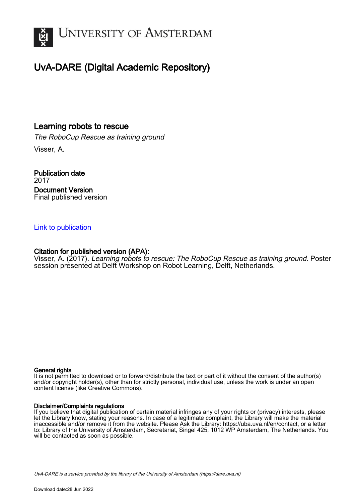

### UvA-DARE (Digital Academic Repository)

### Learning robots to rescue

The RoboCup Rescue as training ground Visser, A.

Publication date 2017 Document Version Final published version

### [Link to publication](https://dare.uva.nl/personal/pure/en/publications/learning-robots-to-rescue(19e7f6ee-ee84-42cd-af2d-1c18f67fab84).html)

### Citation for published version (APA):

Visser, A. (2017). Learning robots to rescue: The RoboCup Rescue as training ground. Poster session presented at Delft Workshop on Robot Learning, Delft, Netherlands.

### General rights

It is not permitted to download or to forward/distribute the text or part of it without the consent of the author(s) and/or copyright holder(s), other than for strictly personal, individual use, unless the work is under an open content license (like Creative Commons).

### Disclaimer/Complaints regulations

If you believe that digital publication of certain material infringes any of your rights or (privacy) interests, please let the Library know, stating your reasons. In case of a legitimate complaint, the Library will make the material inaccessible and/or remove it from the website. Please Ask the Library: https://uba.uva.nl/en/contact, or a letter to: Library of the University of Amsterdam, Secretariat, Singel 425, 1012 WP Amsterdam, The Netherlands. You will be contacted as soon as possible.